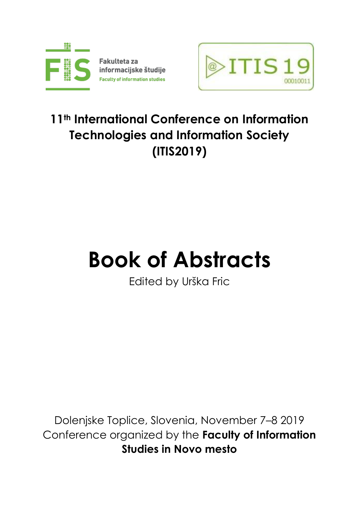

Fakulteta za informacijske študije **Faculty of information studies** 



## **11th International Conference on Information Technologies and Information Society (ITIS2019)**

# **Book of Abstracts**

Edited by Urška Fric

Dolenjske Toplice, Slovenia, November 7–8 2019 Conference organized by the **Faculty of Information Studies in Novo mesto**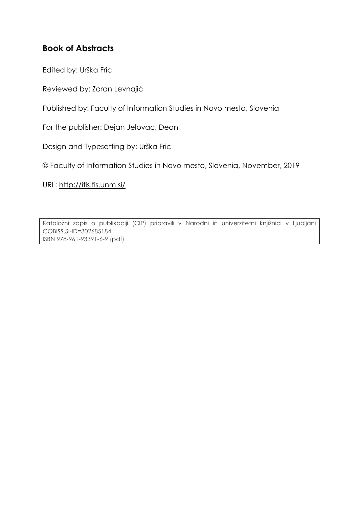#### **Book of Abstracts**

Edited by: Urška Fric

Reviewed by: Zoran Levnajić

Published by: Faculty of Information Studies in Novo mesto, Slovenia

For the publisher: Dejan Jelovac, Dean

Design and Typesetting by: Urška Fric

© Faculty of Information Studies in Novo mesto, Slovenia, November, 2019

URL:<http://itis.fis.unm.si/>

Kataložni zapis o publikaciji (CIP) pripravili v Narodni in univerzitetni knjižnici v Ljubljani [COBISS.SI-](http://cobiss.si/)ID[=302685184](https://plus.cobiss.si/opac7/bib/302685184) ISBN 978-961-93391-6-9 (pdf)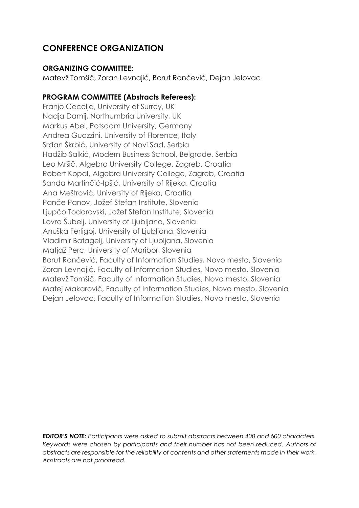#### **CONFERENCE ORGANIZATION**

#### **ORGANIZING COMMITTEE:**

Matevž Tomšič, Zoran Levnajić, Borut Rončević, Dejan Jelovac

#### **PROGRAM COMMITTEE (Abstracts Referees):**

Franjo Cecelja, University of Surrey, UK Nadja Damij, Northumbria University, UK Markus Abel, Potsdam University, Germany Andrea Guazzini, University of Florence, Italy Srđan Škrbić, University of Novi Sad, Serbia Hadžib Salkić, Modern Business School, Belgrade, Serbia Leo Mršič, Algebra University College, Zagreb, Croatia Robert Kopal, Algebra University College, Zagreb, Croatia Sanda Martinčić-Ipšić, University of Rijeka, Croatia Ana Meštrović, University of Rijeka, Croatia Panče Panov, Jožef Stefan Institute, Slovenia Ljupčo Todorovski, Jožef Stefan Institute, Slovenia Lovro Šubelj, University of Ljubljana, Slovenia Anuška Ferligoj, University of Ljubljana, Slovenia Vladimir Batagelj, University of Ljubljana, Slovenia Matjaž Perc, University of Maribor, Slovenia Borut Rončević, Faculty of Information Studies, Novo mesto, Slovenia Zoran Levnajić, Faculty of Information Studies, Novo mesto, Slovenia Matevž Tomšič, Faculty of Information Studies, Novo mesto, Slovenia Matej Makarovič, Faculty of Information Studies, Novo mesto, Slovenia Dejan Jelovac, Faculty of Information Studies, Novo mesto, Slovenia

*EDITOR'S NOTE: Participants were asked to submit abstracts between 400 and 600 characters. Keywords were chosen by participants and their number has not been reduced. Authors of abstracts are responsible for the reliability of contents and other statements made in their work. Abstracts are not proofread.*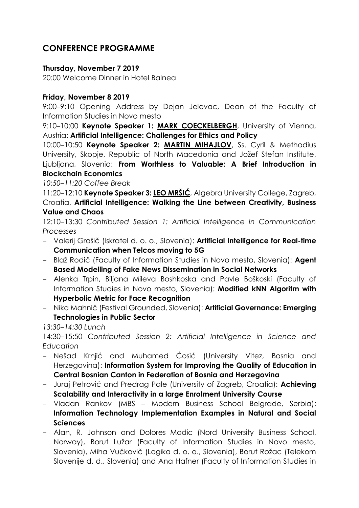#### **CONFERENCE PROGRAMME**

#### **Thursday, November 7 2019**

20:00 Welcome Dinner in Hotel Balnea

#### **Friday, November 8 2019**

9:00–9:10 Opening Address by Dejan Jelovac, Dean of the Faculty of Information Studies in Novo mesto

9:10–10:00 **Keynote Speaker 1: [MARK COECKELBERGH](https://coeckelbergh.wordpress.com/)**, University of Vienna, Austria: **Artificial Intelligence: Challenges for Ethics and Policy**

10:00–10:50 **Keynote Speaker 2: [MARTIN MIHAJLOV](https://scholar.google.com/citations?user=H7NmYPEAAAAJ&hl=en)**, Ss. Cyril & Methodius University, Skopje, Republic of North Macedonia and Jožef Stefan Institute, Ljubljana, Slovenia: **From Worthless to Valuable: A Brief Introduction in Blockchain Economics**

*10:50–11:20 Coffee Break*

11:20–12:10 **Keynote Speaker 3: [LEO MRŠIĆ](https://www.algebra.hr/mba/faculty/leo-mrsic/)**, Algebra University College, Zagreb, Croatia, **Artificial Intelligence: Walking the Line between Creativity, Business Value and Chaos**

12:10–13:30 *Contributed Session 1: Artificial Intelligence in Communication Processes*

- Valerij Grašič (Iskratel d. o. o., Slovenia): **Artificial Intelligence for Real-time Communication when Telcos moving to 5G**
- Blaž Rodič (Faculty of Information Studies in Novo mesto, Slovenia): **Agent Based Modelling of Fake News Dissemination in Social Networks**
- Alenka Trpin, Biljana Mileva Boshkoska and Pavle Boškoski (Faculty of Information Studies in Novo mesto, Slovenia): **Modified kNN Algoritm with Hyperbolic Metric for Face Recognition**
- Nika Mahnič (Festival Grounded, Slovenia): **Artificial Governance: Emerging Technologies in Public Sector**

*13:30–14:30 Lunch*

14:30–15:50 *Contributed Session 2: Artificial Intelligence in Science and Education*

- Nešad Krnjić and Muhamed Ćosić (University Vitez, Bosnia and Herzegovina): **Information System for Improving the Quality of Education in Central Bosnian Canton in Federation of Bosnia and Herzegovina**
- Juraj Petrović and Predrag Pale (University of Zagreb, Croatia): **Achieving Scalability and Interactivity in a large Enrolment University Course**
- Vladan Rankov (MBS Modern Business School Belgrade, Serbia): **Information Technology Implementation Examples in Natural and Social Sciences**
- Alan, R. Johnson and Dolores Modic (Nord University Business School, Norway), Borut Lužar (Faculty of Information Studies in Novo mesto, Slovenia), Miha Vučkovič (Logika d. o. o., Slovenia), Borut Rožac (Telekom Slovenije d. d., Slovenia) and Ana Hafner (Faculty of Information Studies in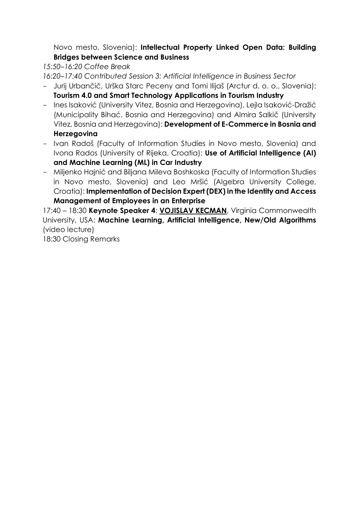Novo mesto, Slovenia): **Intellectual Property Linked Open Data: Building Bridges between Science and Business**

*15:50–16:20 Coffee Break*

*16:20–17:40 Contributed Session 3: Artificial Intelligence in Business Sector*

- Jurij Urbančič, Urška Starc Peceny and Tomi Ilijaš (Arctur d. o. o., Slovenia): **Tourism 4.0 and Smart Technology Applications in Tourism Industry**
- Ines Isaković (University Vitez, Bosnia and Herzegovina), Lejla Isaković-Dražić (Municipality Bihać, Bosnia and Herzegovina) and Almira Salkič (University Vitez, Bosnia and Herzegovina): **Development of E-Commerce in Bosnia and Herzegovina**
- Ivan Radoš (Faculty of Information Studies in Novo mesto, Slovenia) and Ivona Rados (University of Rijeka, Croatia): **Use of Artificial Intelligence (AI) and Machine Learning (ML) in Car Industry**
- Miljenko Hajnić and Biljana Mileva Boshkoska (Faculty of Information Studies in Novo mesto, Slovenia) and Leo Mršić (Algebra University College, Croatia): **Implementation of Decision Expert (DEX) in the Identity and Access Management of Employees in an Enterprise**

17:40 – 18:30 **Keynote Speaker 4**: **[VOJISLAV KECMAN](http://www.people.vcu.edu/~vkecman/Director.html)**, Virginia Commonwealth University, USA: **Machine Learning, Artificial Intelligence, New/Old Algorithms** (video lecture)

18:30 Closing Remarks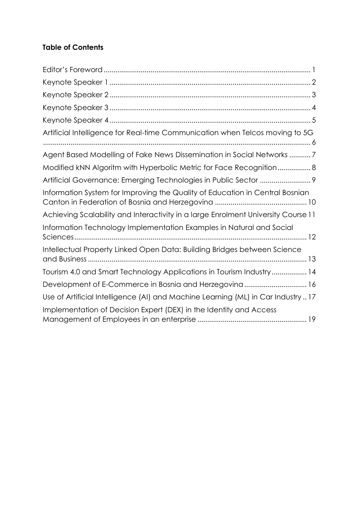#### **Table of Contents**

| Artificial Intelligence for Real-time Communication when Telcos moving to 5G      |
|-----------------------------------------------------------------------------------|
| Agent Based Modelling of Fake News Dissemination in Social Networks 7             |
| Modified kNN Algoritm with Hyperbolic Metric for Face Recognition 8               |
| Artificial Governance: Emerging Technologies in Public Sector  9                  |
| Information System for Improving the Quality of Education in Central Bosnian      |
| Achieving Scalability and Interactivity in a large Enrolment University Course 11 |
| Information Technology Implementation Examples in Natural and Social              |
| Intellectual Property Linked Open Data: Building Bridges between Science          |
| Tourism 4.0 and Smart Technology Applications in Tourism Industry 14              |
| Development of E-Commerce in Bosnia and Herzegovina 16                            |
| Use of Artificial Intelligence (AI) and Machine Learning (ML) in Car Industry  17 |
| Implementation of Decision Expert (DEX) in the Identity and Access                |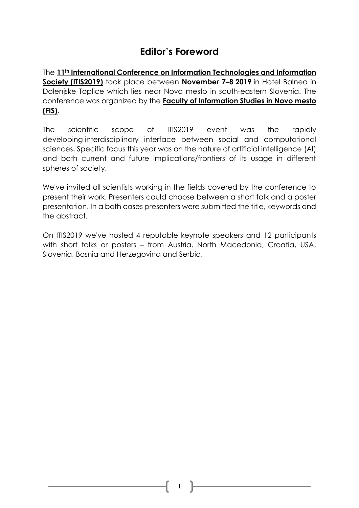## **Editor's Foreword**

<span id="page-6-0"></span>The **11th International Conference on Information [Technologies](http://itis.fis.unm.si/) and Information [Society](http://itis.fis.unm.si/) (ITIS2019)** took place between **November 7–8 2019** in Hotel Balnea in Dolenjske Toplice which lies near Novo mesto in south-eastern Slovenia. The conference was organized by the **Faculty of [Information](http://www.fis.unm.si/en) Studies in Novo mesto [\(FIS\)](http://www.fis.unm.si/en)**.

The scientific scope of ITIS2019 event was the rapidly developing interdisciplinary interface between social and computational sciences**.** Specific focus this year was on the nature of artificial intelligence (AI) and both current and future implications/frontiers of its usage in different spheres of society.

We've invited all scientists working in the fields covered by the conference to present their work. Presenters could choose between a short talk and a poster presentation. In a both cases presenters were submitted the title, keywords and the abstract.

On ITIS2019 we've hosted 4 reputable keynote speakers and 12 participants with short talks or posters – from Austria, North Macedonia, Croatia, USA, Slovenia, Bosnia and Herzegovina and Serbia.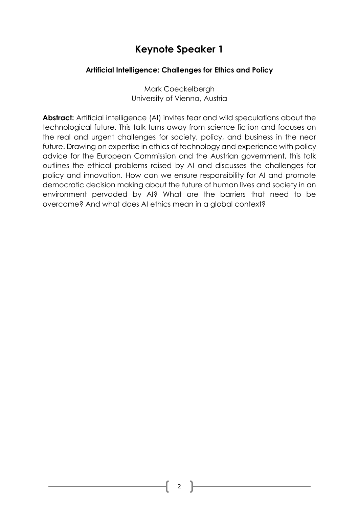#### <span id="page-7-0"></span>**Artificial Intelligence: Challenges for Ethics and Policy**

Mark Coeckelbergh University of Vienna, Austria

**Abstract:** Artificial intelligence (AI) invites fear and wild speculations about the technological future. This talk turns away from science fiction and focuses on the real and urgent challenges for society, policy, and business in the near future. Drawing on expertise in ethics of technology and experience with policy advice for the European Commission and the Austrian government, this talk outlines the ethical problems raised by AI and discusses the challenges for policy and innovation. How can we ensure responsibility for AI and promote democratic decision making about the future of human lives and society in an environment pervaded by AI? What are the barriers that need to be overcome? And what does AI ethics mean in a global context?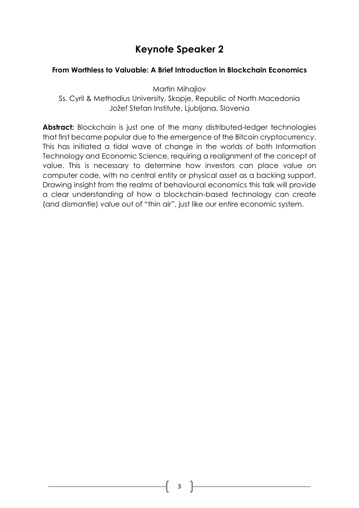#### <span id="page-8-0"></span>**From Worthless to Valuable: A Brief Introduction in Blockchain Economics**

Martin Mihajlov

Ss. Cyril & Methodius University, Skopje, Republic of North Macedonia Jožef Stefan Institute, Ljubljana, Slovenia

Abstract: Blockchain is just one of the many distributed-ledger technologies that first became popular due to the emergence of the Bitcoin cryptocurrency. This has initiated a tidal wave of change in the worlds of both Information Technology and Economic Science, requiring a realignment of the concept of value. This is necessary to determine how investors can place value on computer code, with no central entity or physical asset as a backing support. Drawing insight from the realms of behavioural economics this talk will provide a clear understanding of how a blockchain-based technology can create (and dismantle) value out of "thin air", just like our entire economic system.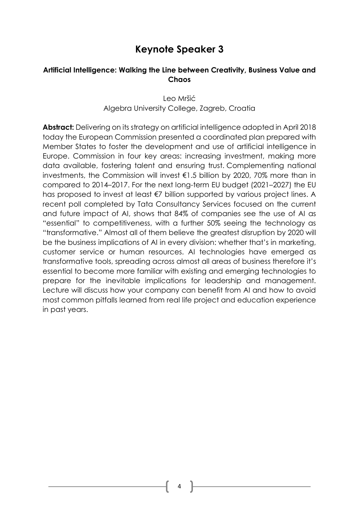#### <span id="page-9-0"></span>**Artificial Intelligence: Walking the Line between Creativity, Business Value and Chaos**

Leo Mršić Algebra University College, Zagreb, Croatia

**Abstract:** Delivering on its strategy on artificial intelligence adopted in April 2018 today the European Commission presented a coordinated plan prepared with Member States to foster the development and use of artificial intelligence in Europe. Commission in four key areas: increasing investment, making more data available, fostering talent and ensuring trust. Complementing national investments, the Commission will invest €1.5 billion by 2020, 70% more than in compared to 2014–2017. For the next long-term EU budget (2021–2027) the EU has proposed to invest at least €7 billion supported by various project lines. A recent poll completed by Tata Consultancy Services focused on the current and future impact of AI, shows that 84% of companies see the use of AI as "essential" to competitiveness, with a further 50% seeing the technology as "transformative." Almost all of them believe the greatest disruption by 2020 will be the business implications of AI in every division: whether that's in marketing, customer service or human resources. AI technologies have emerged as transformative tools, spreading across almost all areas of business therefore it's essential to become more familiar with existing and emerging technologies to prepare for the inevitable implications for leadership and management. Lecture will discuss how your company can benefit from AI and how to avoid most common pitfalls learned from real life project and education experience in past years.

4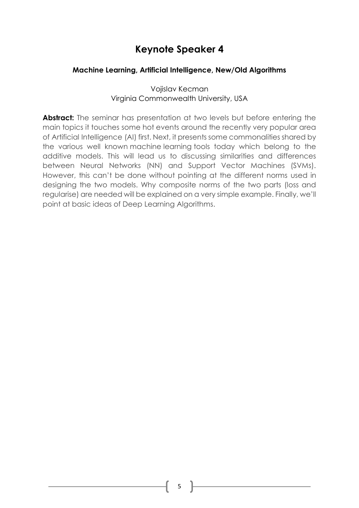#### <span id="page-10-0"></span>**Machine Learning, Artificial Intelligence, New/Old Algorithms**

Vojislav Kecman Virginia Commonwealth University, USA

Abstract: The seminar has presentation at two levels but before entering the main topics it touches some hot events around the recently very popular area of Artificial Intelligence (AI) first. Next, it presents some commonalities shared by the various well known machine learning tools today which belong to the additive models. This will lead us to discussing similarities and differences between Neural Networks (NN) and Support Vector Machines (SVMs). However, this can't be done without pointing at the different norms used in designing the two models. Why composite norms of the two parts (loss and regularise) are needed will be explained on a very simple example. Finally, we'll point at basic ideas of Deep Learning Algorithms.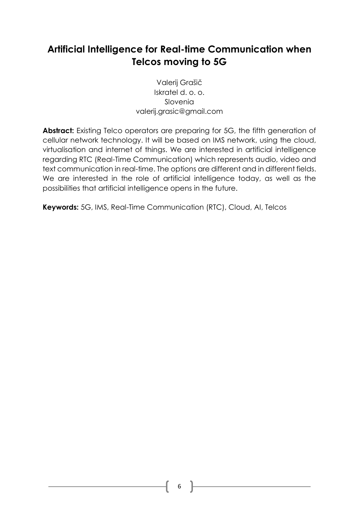## <span id="page-11-0"></span>**Artificial Intelligence for Real-time Communication when Telcos moving to 5G**

Valerij Grašič Iskratel d. o. o. Slovenia valerij.grasic@gmail.com

Abstract: Existing Telco operators are preparing for 5G, the fifth generation of cellular network technology. It will be based on IMS network, using the cloud, virtualisation and internet of things. We are interested in artificial intelligence regarding RTC (Real-Time Communication) which represents audio, video and text communication in real-time. The options are different and in different fields. We are interested in the role of artificial intelligence today, as well as the possibilities that artificial intelligence opens in the future.

**Keywords:** 5G, IMS, Real-Time Communication (RTC), Cloud, AI, Telcos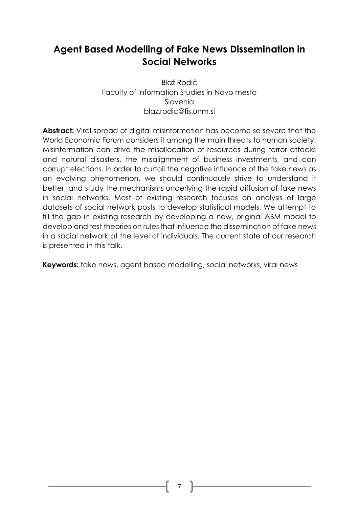## <span id="page-12-0"></span>**Agent Based Modelling of Fake News Dissemination in Social Networks**

Blaž Rodič Faculty of Information Studies in Novo mesto Slovenia blaz.rodic@fis.unm.si

**Abstract:** Viral spread of digital misinformation has become so severe that the World Economic Forum considers it among the main threats to human society. Misinformation can drive the misallocation of resources during terror attacks and natural disasters, the misalignment of business investments, and can corrupt elections. In order to curtail the negative influence of the fake news as an evolving phenomenon, we should continuously strive to understand it better, and study the mechanisms underlying the rapid diffusion of fake news in social networks. Most of existing research focuses on analysis of large datasets of social network posts to develop statistical models. We attempt to fill the gap in existing research by developing a new, original ABM model to develop and test theories on rules that influence the dissemination of fake news in a social network at the level of individuals. The current state of our research is presented in this talk.

**Keywords:** fake news, agent based modelling, social networks, viral news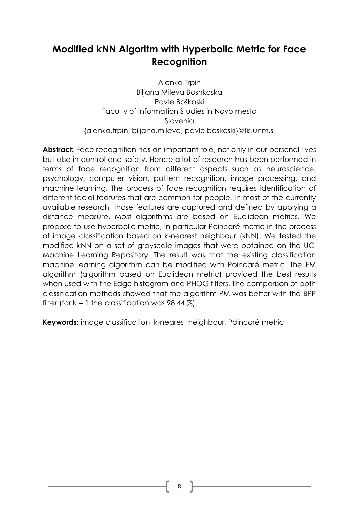## <span id="page-13-0"></span>**Modified kNN Algoritm with Hyperbolic Metric for Face Recognition**

Alenka Trpin Biljana Mileva Boshkoska Pavle Boškoski Faculty of Information Studies in Novo mesto Slovenia {alenka.trpin, biljana.mileva, pavle.boskoski}@fis.unm.si

Abstract: Face recognition has an important role, not only in our personal lives but also in control and safety. Hence a lot of research has been performed in terms of face recognition from different aspects such as neuroscience, psychology, computer vision, pattern recognition, image processing, and machine learning. The process of face recognition requires identification of different facial features that are common for people. In most of the currently available research, those features are captured and defined by applying a distance measure. Most algorithms are based on Euclidean metrics. We propose to use hyperbolic metric, in particular Poincaré metric in the process of image classification based on k-nearest neighbour (kNN). We tested the modified kNN on a set of grayscale images that were obtained on the UCI Machine Learning Repository. The result was that the existing classification machine learning algorithm can be modified with Poincaré metric. The EM algorithm (algorithm based on Euclidean metric) provided the best results when used with the Edge histogram and PHOG filters. The comparison of both classification methods showed that the algorithm PM was better with the BPP filter (for  $k = 1$  the classification was 98.44 %).

**Keywords:** image classification, k-nearest neighbour, Poincaré metric

8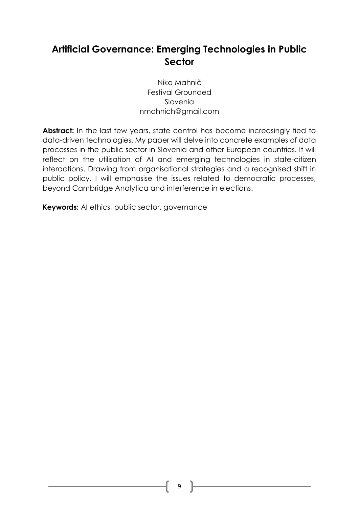## <span id="page-14-0"></span>**Artificial Governance: Emerging Technologies in Public Sector**

Nika Mahnič Festival Grounded Slovenia nmahnich@gmail.com

**Abstract:** In the last few years, state control has become increasingly tied to data-driven technologies. My paper will delve into concrete examples of data processes in the public sector in Slovenia and other European countries. It will reflect on the utilisation of AI and emerging technologies in state-citizen interactions. Drawing from organisational strategies and a recognised shift in public policy, I will emphasise the issues related to democratic processes, beyond Cambridge Analytica and interference in elections.

**Keywords:** AI ethics, public sector, governance

9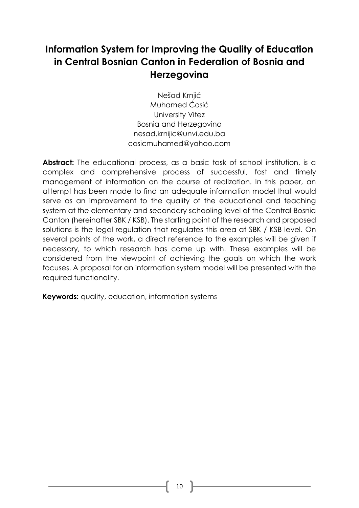## <span id="page-15-0"></span>**Information System for Improving the Quality of Education in Central Bosnian Canton in Federation of Bosnia and Herzegovina**

Nešad Krnjić Muhamed Ćosić University Vitez Bosnia and Herzegovina [nesad.krnijic@unvi.edu.ba](mailto:nesad.krnijic@unvi.edu.ba) [cosicmuhamed@yahoo.com](mailto:cosicmuhamed@yahoo.com)

Abstract: The educational process, as a basic task of school institution, is a complex and comprehensive process of successful, fast and timely management of information on the course of realization. In this paper, an attempt has been made to find an adequate information model that would serve as an improvement to the quality of the educational and teaching system at the elementary and secondary schooling level of the Central Bosnia Canton (hereinafter SBK / KSB). The starting point of the research and proposed solutions is the legal regulation that regulates this area at SBK / KSB level. On several points of the work, a direct reference to the examples will be given if necessary, to which research has come up with. These examples will be considered from the viewpoint of achieving the goals on which the work focuses. A proposal for an information system model will be presented with the required functionality.

**Keywords:** quality, education, information systems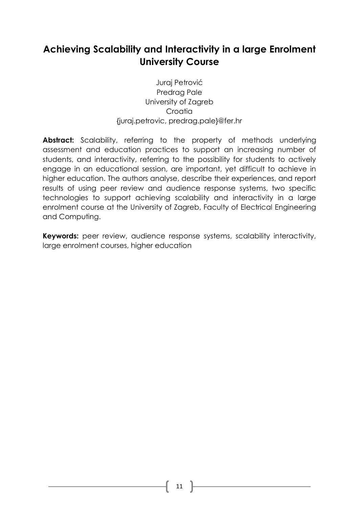## <span id="page-16-0"></span>**Achieving Scalability and Interactivity in a large Enrolment University Course**

Juraj Petrović Predrag Pale University of Zagreb **Croatia** [{juraj.petrovic, predrag.pale}@fer.hr](mailto:juraj.petrovic,%20predrag.pale%7d@fer.hr)

Abstract: Scalability, referring to the property of methods underlying assessment and education practices to support an increasing number of students, and interactivity, referring to the possibility for students to actively engage in an educational session, are important, yet difficult to achieve in higher education. The authors analyse, describe their experiences, and report results of using peer review and audience response systems, two specific technologies to support achieving scalability and interactivity in a large enrolment course at the University of Zagreb, Faculty of Electrical Engineering and Computing.

**Keywords:** peer review, audience response systems, scalability interactivity, large enrolment courses, higher education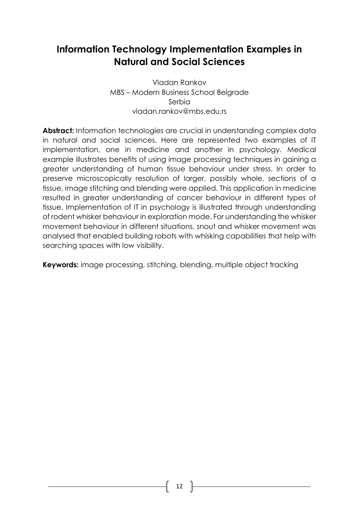## <span id="page-17-0"></span>**Information Technology Implementation Examples in Natural and Social Sciences**

Vladan Rankov MBS – Modern Business School Belgrade Serbia [vladan.rankov@mbs.edu.rs](mailto:vladan.rankov@mbs.edu.rs)

**Abstract:** Information technologies are crucial in understanding complex data in natural and social sciences. Here are represented two examples of IT implementation, one in medicine and another in psychology. Medical example illustrates benefits of using image processing techniques in gaining a greater understanding of human tissue behaviour under stress. In order to preserve microscopically resolution of larger, possibly whole, sections of a tissue, image stitching and blending were applied. This application in medicine resulted in greater understanding of cancer behaviour in different types of tissue. Implementation of IT in psychology is illustrated through understanding of rodent whisker behaviour in exploration mode. For understanding the whisker movement behaviour in different situations, snout and whisker movement was analysed that enabled building robots with whisking capabilities that help with searching spaces with low visibility.

**Keywords:** image processing, stitching, blending, multiple object tracking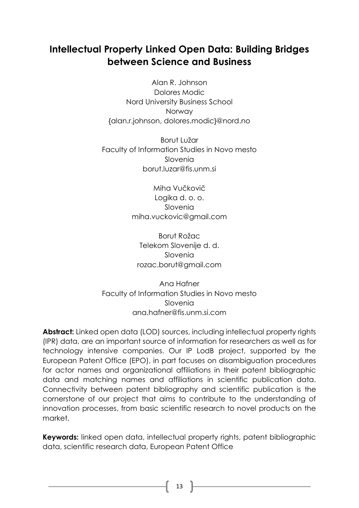## <span id="page-18-0"></span>**Intellectual Property Linked Open Data: Building Bridges between Science and Business**

Alan R. Johnson Dolores Modic Nord University Business School Norway [{alan.r.johnson, dolores.modic}@nord.no](mailto:alan.r.johnson,%20dolores.modic%7d@nord.no)

Borut Lužar Faculty of Information Studies in Novo mesto Slovenia borut.luzar@fis.unm.si

> Miha Vučkovič Logika d. o. o. Slovenia miha.vuckovic@gmail.com

Borut Rožac Telekom Slovenije d. d. Slovenia rozac.borut@gmail.com

Ana Hafner Faculty of Information Studies in Novo mesto Slovenia ana.hafner@fis.unm.si.com

**Abstract:** Linked open data (LOD) sources, including intellectual property rights (IPR) data, are an important source of information for researchers as well as for technology intensive companies. Our IP LodB project, supported by the European Patent Office (EPO), in part focuses on disambiguation procedures for actor names and organizational affiliations in their patent bibliographic data and matching names and affiliations in scientific publication data. Connectivity between patent bibliography and scientific publication is the cornerstone of our project that aims to contribute to the understanding of innovation processes, from basic scientific research to novel products on the market.

**Keywords:** linked open data, intellectual property rights, patent bibliographic data, scientific research data, European Patent Office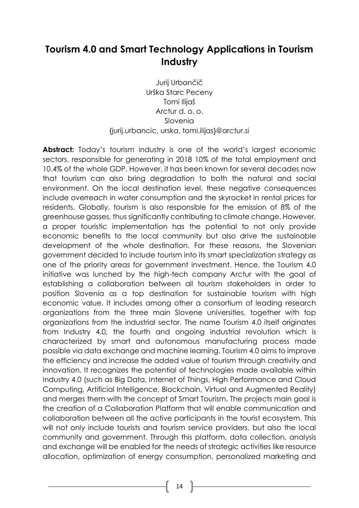## <span id="page-19-0"></span>**Tourism 4.0 and Smart Technology Applications in Tourism Industry**

Jurij Urbančič Urška Starc Peceny Tomi Ilijaš Arctur d. o. o. Slovenia {jurij.urbancic, urska, tomi.ilijas}@arctur.si

Abstract: Today's tourism industry is one of the world's largest economic sectors, responsible for generating in 2018 10% of the total employment and 10.4% of the whole GDP. However, it has been known for several decades now that tourism can also bring degradation to both the natural and social environment. On the local destination level, these negative consequences include overreach in water consumption and the skyrocket in rental prices for residents. Globally, tourism is also responsible for the emission of 8% of the greenhouse gasses, thus significantly contributing to climate change. However, a proper touristic implementation has the potential to not only provide economic benefits to the local community but also drive the sustainable development of the whole destination. For these reasons, the Slovenian government decided to include tourism into its smart specialization strategy as one of the priority areas for government investment. Hence, the Tourism 4.0 initiative was lunched by the high-tech company Arctur with the goal of establishing a collaboration between all tourism stakeholders in order to position Slovenia as a top destination for sustainable tourism with high economic value. It includes among other a consortium of leading research organizations from the three main Slovene universities, together with top organizations from the industrial sector. The name Tourism 4.0 itself originates from Industry 4.0, the fourth and ongoing industrial revolution which is characterized by smart and autonomous manufacturing process made possible via data exchange and machine learning. Tourism 4.0 aims to improve the efficiency and increase the added value of tourism through creativity and innovation. It recognizes the potential of technologies made available within Industry 4.0 (such as Big Data, Internet of Things, High Performance and Cloud Computing, Artificial Intelligence, Blockchain, Virtual and Augmented Reality) and merges them with the concept of Smart Tourism. The projects main goal is the creation of a Collaboration Platform that will enable communication and collaboration between all the active participants in the tourist ecosystem. This will not only include tourists and tourism service providers, but also the local community and government. Through this platform, data collection, analysis and exchange will be enabled for the needs of strategic activities like resource allocation, optimization of energy consumption, personalized marketing and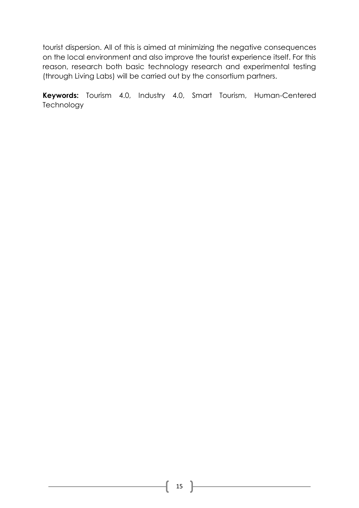tourist dispersion. All of this is aimed at minimizing the negative consequences on the local environment and also improve the tourist experience itself. For this reason, research both basic technology research and experimental testing (through Living Labs) will be carried out by the consortium partners.

**Keywords:** Tourism 4.0, Industry 4.0, Smart Tourism, Human-Centered **Technology**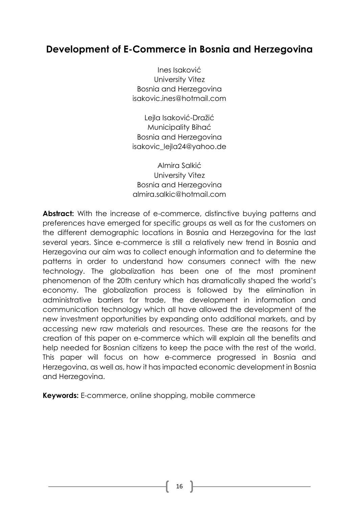#### <span id="page-21-0"></span>**Development of E-Commerce in Bosnia and Herzegovina**

Ines Isaković University Vitez Bosnia and Herzegovina isakovic.ines@hotmail.com

Lejla Isaković-Dražić Municipality Bihać Bosnia and Herzegovina isakovic\_lejla24@yahoo.de

Almira Salkić University Vitez Bosnia and Herzegovina almira.salkic@hotmail.com

**Abstract:** With the increase of e-commerce, distinctive buying patterns and preferences have emerged for specific groups as well as for the customers on the different demographic locations in Bosnia and Herzegovina for the last several years. Since e-commerce is still a relatively new trend in Bosnia and Herzegovina our aim was to collect enough information and to determine the patterns in order to understand how consumers connect with the new technology. The globalization has been one of the most prominent phenomenon of the 20th century which has dramatically shaped the world's economy. The globalization process is followed by the elimination in administrative barriers for trade, the development in information and communication technology which all have allowed the development of the new investment opportunities by expanding onto additional markets, and by accessing new raw materials and resources. These are the reasons for the creation of this paper on e-commerce which will explain all the benefits and help needed for Bosnian citizens to keep the pace with the rest of the world. This paper will focus on how e-commerce progressed in Bosnia and Herzegovina, as well as, how it has impacted economic development in Bosnia and Herzegovina.

**Keywords:** E-commerce, online shopping, mobile commerce

16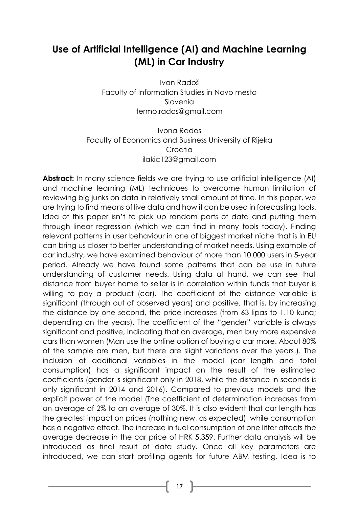## <span id="page-22-0"></span>**Use of Artificial Intelligence (AI) and Machine Learning (ML) in Car Industry**

Ivan Radoš Faculty of Information Studies in Novo mesto Slovenia termo.rados@gmail.com

Ivona Rados Faculty of Economics and Business University of Rijeka **Croatia** [ilakic123@gmail.com](mailto:ilakic123@gmail.com)

**Abstract:** In many science fields we are trying to use artificial intelligence (AI) and machine learning (ML) techniques to overcome human limitation of reviewing big junks on data in relatively small amount of time. In this paper, we are trying to find means of live data and how it can be used in forecasting tools. Idea of this paper isn't to pick up random parts of data and putting them through linear regression (which we can find in many tools today). Finding relevant patterns in user behaviour in one of biggest market niche that is in EU can bring us closer to better understanding of market needs. Using example of car industry, we have examined behaviour of more than 10.000 users in 5-year period. Already we have found some patterns that can be use in future understanding of customer needs. Using data at hand, we can see that distance from buyer home to seller is in correlation within funds that buyer is willing to pay a product (car). The coefficient of the distance variable is significant (through out of observed years) and positive, that is, by increasing the distance by one second, the price increases (from 63 lipas to 1.10 kuna; depending on the years). The coefficient of the "gender" variable is always significant and positive, indicating that on average, men buy more expensive cars than women (Man use the online option of buying a car more. About 80% of the sample are men, but there are slight variations over the years.). The inclusion of additional variables in the model (car length and total consumption) has a significant impact on the result of the estimated coefficients (gender is significant only in 2018, while the distance in seconds is only significant in 2014 and 2016). Compared to previous models and the explicit power of the model (The coefficient of determination increases from an average of 2% to an average of 30%. It is also evident that car length has the greatest impact on prices (nothing new, as expected), while consumption has a negative effect. The increase in fuel consumption of one litter affects the average decrease in the car price of HRK 5.359. Further data analysis will be introduced as final result of data study. Once all key parameters are introduced, we can start profiling agents for future ABM testing. Idea is to

17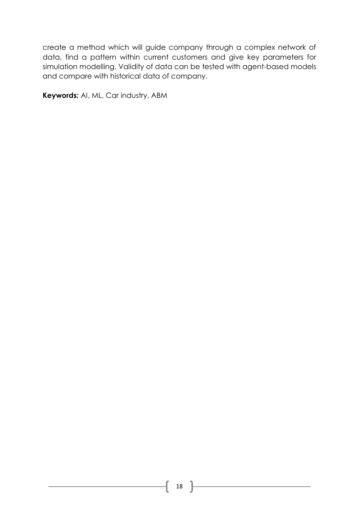create a method which will guide company through a complex network of data, find a pattern within current customers and give key parameters for simulation modelling. Validity of data can be tested with agent-based models and compare with historical data of company.

**Keywords:** AI, ML, Car industry, ABM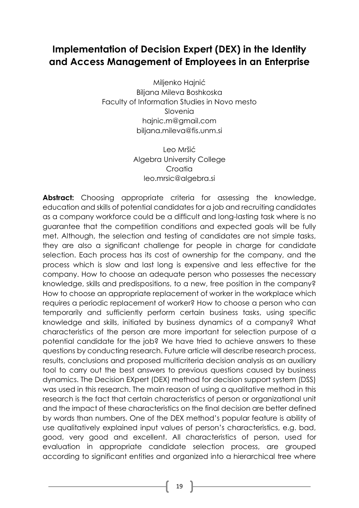#### <span id="page-24-0"></span>**Implementation of Decision Expert (DEX) in the Identity and Access Management of Employees in an Enterprise**

Miljenko Hajnić Biljana Mileva Boshkoska Faculty of Information Studies in Novo mesto Slovenia [hajnic.m@gmail.com](mailto:hajnic.m@gmail.com) [biljana.mileva@fis.unm.si](mailto:biljana.mileva@fis.unm.si)

> Leo Mršić Algebra University College **Croatia** [leo.mrsic@algebra.si](mailto:leo.mrsic@algebra.si)

**Abstract:** Choosing appropriate criteria for assessing the knowledge, education and skills of potential candidates for a job and recruiting candidates as a company workforce could be a difficult and long-lasting task where is no guarantee that the competition conditions and expected goals will be fully met. Although, the selection and testing of candidates are not simple tasks, they are also a significant challenge for people in charge for candidate selection. Each process has its cost of ownership for the company, and the process which is slow and last long is expensive and less effective for the company. How to choose an adequate person who possesses the necessary knowledge, skills and predispositions, to a new, free position in the company? How to choose an appropriate replacement of worker in the workplace which requires a periodic replacement of worker? How to choose a person who can temporarily and sufficiently perform certain business tasks, using specific knowledge and skills, initiated by business dynamics of a company? What characteristics of the person are more important for selection purpose of a potential candidate for the job? We have tried to achieve answers to these questions by conducting research. Future article will describe research process, results, conclusions and proposed multicriteria decision analysis as an auxiliary tool to carry out the best answers to previous questions caused by business dynamics. The Decision EXpert (DEX) method for decision support system (DSS) was used in this research. The main reason of using a qualitative method in this research is the fact that certain characteristics of person or organizational unit and the impact of these characteristics on the final decision are better defined by words than numbers. One of the DEX method's popular feature is ability of use qualitatively explained input values of person's characteristics, e.g. bad, good, very good and excellent. All characteristics of person, used for evaluation in appropriate candidate selection process, are grouped according to significant entities and organized into a hierarchical tree where